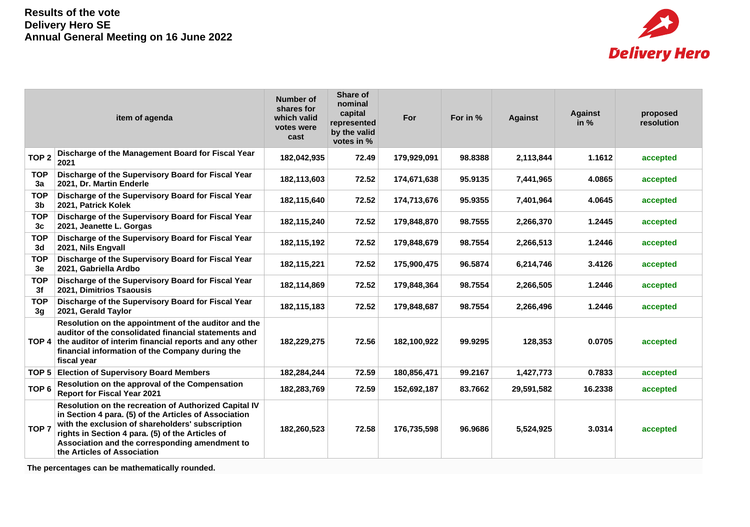

|                              | item of agenda                                                                                                                                                                                                                                                                                          | <b>Number of</b><br>shares for<br>which valid<br>votes were<br>cast | Share of<br>nominal<br>capital<br>represented<br>by the valid<br>votes in % | For         | For in % | <b>Against</b> | <b>Against</b><br>in $%$ | proposed<br><b>resolution</b> |
|------------------------------|---------------------------------------------------------------------------------------------------------------------------------------------------------------------------------------------------------------------------------------------------------------------------------------------------------|---------------------------------------------------------------------|-----------------------------------------------------------------------------|-------------|----------|----------------|--------------------------|-------------------------------|
| TOP <sub>2</sub>             | Discharge of the Management Board for Fiscal Year<br>2021                                                                                                                                                                                                                                               | 182,042,935                                                         | 72.49                                                                       | 179,929,091 | 98.8388  | 2,113,844      | 1.1612                   | accepted                      |
| <b>TOP</b><br>3a             | Discharge of the Supervisory Board for Fiscal Year<br>2021, Dr. Martin Enderle                                                                                                                                                                                                                          | 182,113,603                                                         | 72.52                                                                       | 174,671,638 | 95.9135  | 7,441,965      | 4.0865                   | accepted                      |
| <b>TOP</b><br>3 <sub>b</sub> | Discharge of the Supervisory Board for Fiscal Year<br>2021, Patrick Kolek                                                                                                                                                                                                                               | 182,115,640                                                         | 72.52                                                                       | 174,713,676 | 95.9355  | 7,401,964      | 4.0645                   | accepted                      |
| <b>TOP</b><br>3c             | Discharge of the Supervisory Board for Fiscal Year<br>2021, Jeanette L. Gorgas                                                                                                                                                                                                                          | 182,115,240                                                         | 72.52                                                                       | 179,848,870 | 98.7555  | 2,266,370      | 1.2445                   | accepted                      |
| <b>TOP</b><br>3d             | Discharge of the Supervisory Board for Fiscal Year<br>2021, Nils Engvall                                                                                                                                                                                                                                | 182,115,192                                                         | 72.52                                                                       | 179,848,679 | 98.7554  | 2,266,513      | 1.2446                   | accepted                      |
| <b>TOP</b><br>3e             | Discharge of the Supervisory Board for Fiscal Year<br>2021, Gabriella Ardbo                                                                                                                                                                                                                             | 182,115,221                                                         | 72.52                                                                       | 175,900,475 | 96.5874  | 6,214,746      | 3.4126                   | accepted                      |
| <b>TOP</b><br>3f             | Discharge of the Supervisory Board for Fiscal Year<br>2021, Dimitrios Tsaousis                                                                                                                                                                                                                          | 182,114,869                                                         | 72.52                                                                       | 179,848,364 | 98.7554  | 2,266,505      | 1.2446                   | accepted                      |
| <b>TOP</b><br>3 <sub>q</sub> | Discharge of the Supervisory Board for Fiscal Year<br>2021, Gerald Taylor                                                                                                                                                                                                                               | 182,115,183                                                         | 72.52                                                                       | 179,848,687 | 98.7554  | 2,266,496      | 1.2446                   | accepted                      |
|                              | Resolution on the appointment of the auditor and the<br>auditor of the consolidated financial statements and<br>TOP 4 the auditor of interim financial reports and any other<br>financial information of the Company during the<br>fiscal year                                                          | 182,229,275                                                         | 72.56                                                                       | 182,100,922 | 99.9295  | 128,353        | 0.0705                   | accepted                      |
| TOP <sub>5</sub>             | <b>Election of Supervisory Board Members</b>                                                                                                                                                                                                                                                            | 182,284,244                                                         | 72.59                                                                       | 180,856,471 | 99.2167  | 1,427,773      | 0.7833                   | accepted                      |
| TOP <sub>6</sub>             | Resolution on the approval of the Compensation<br><b>Report for Fiscal Year 2021</b>                                                                                                                                                                                                                    | 182,283,769                                                         | 72.59                                                                       | 152,692,187 | 83.7662  | 29,591,582     | 16.2338                  | accepted                      |
| TOP <sub>7</sub>             | Resolution on the recreation of Authorized Capital IV<br>in Section 4 para. (5) of the Articles of Association<br>with the exclusion of shareholders' subscription<br>rights in Section 4 para. (5) of the Articles of<br>Association and the corresponding amendment to<br>the Articles of Association | 182,260,523                                                         | 72.58                                                                       | 176,735,598 | 96.9686  | 5,524,925      | 3.0314                   | accepted                      |

**The percentages can be mathematically rounded.**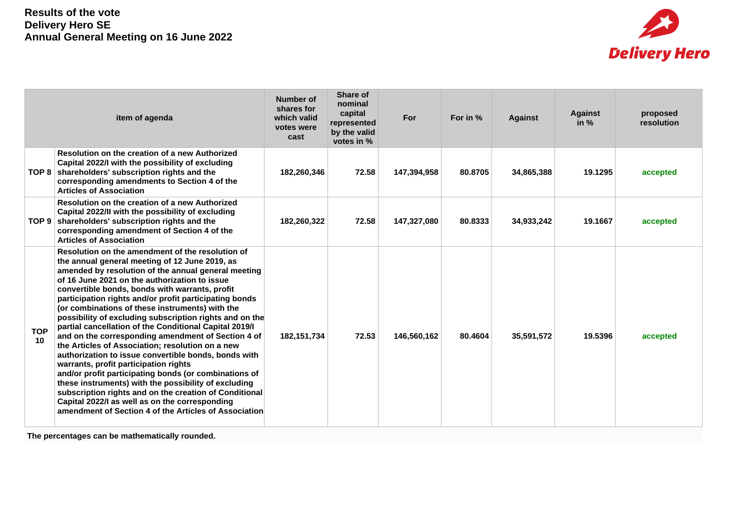

| item of agenda   |                                                                                                                                                                                                                                                                                                                                                                                                                                                                                                                                                                                                                                                                                                                                                                                                                                                                                                                                                                                                 | <b>Number of</b><br>shares for<br>which valid<br>votes were<br>cast | Share of<br>nominal<br>capital<br>represented<br>by the valid<br>votes in % | For         | For in % | <b>Against</b> | <b>Against</b><br>in $%$ | proposed<br>resolution |
|------------------|-------------------------------------------------------------------------------------------------------------------------------------------------------------------------------------------------------------------------------------------------------------------------------------------------------------------------------------------------------------------------------------------------------------------------------------------------------------------------------------------------------------------------------------------------------------------------------------------------------------------------------------------------------------------------------------------------------------------------------------------------------------------------------------------------------------------------------------------------------------------------------------------------------------------------------------------------------------------------------------------------|---------------------------------------------------------------------|-----------------------------------------------------------------------------|-------------|----------|----------------|--------------------------|------------------------|
|                  | Resolution on the creation of a new Authorized<br>Capital 2022/I with the possibility of excluding<br>TOP 8   shareholders' subscription rights and the<br>corresponding amendments to Section 4 of the<br><b>Articles of Association</b>                                                                                                                                                                                                                                                                                                                                                                                                                                                                                                                                                                                                                                                                                                                                                       | 182,260,346                                                         | 72.58                                                                       | 147,394,958 | 80.8705  | 34,865,388     | 19.1295                  | accepted               |
|                  | Resolution on the creation of a new Authorized<br>Capital 2022/II with the possibility of excluding<br>TOP 9 shareholders' subscription rights and the<br>corresponding amendment of Section 4 of the<br><b>Articles of Association</b>                                                                                                                                                                                                                                                                                                                                                                                                                                                                                                                                                                                                                                                                                                                                                         | 182,260,322                                                         | 72.58                                                                       | 147,327,080 | 80.8333  | 34,933,242     | 19.1667                  | accepted               |
| <b>TOP</b><br>10 | Resolution on the amendment of the resolution of<br>the annual general meeting of 12 June 2019, as<br>amended by resolution of the annual general meeting<br>of 16 June 2021 on the authorization to issue<br>convertible bonds, bonds with warrants, profit<br>participation rights and/or profit participating bonds<br>(or combinations of these instruments) with the<br>possibility of excluding subscription rights and on the<br>partial cancellation of the Conditional Capital 2019/I<br>and on the corresponding amendment of Section 4 of<br>the Articles of Association; resolution on a new<br>authorization to issue convertible bonds, bonds with<br>warrants, profit participation rights<br>and/or profit participating bonds (or combinations of<br>these instruments) with the possibility of excluding<br>subscription rights and on the creation of Conditional<br>Capital 2022/I as well as on the corresponding<br>amendment of Section 4 of the Articles of Association | 182, 151, 734                                                       | 72.53                                                                       | 146,560,162 | 80.4604  | 35,591,572     | 19.5396                  | accepted               |

**The percentages can be mathematically rounded.**